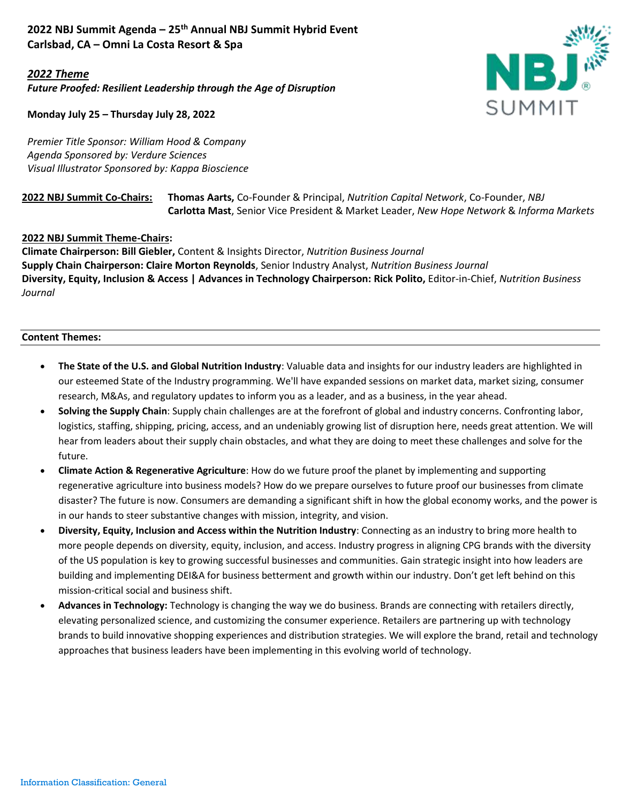# **2022 NBJ Summit Agenda – 25 th Annual NBJ Summit Hybrid Event Carlsbad, CA – Omni La Costa Resort & Spa**

*2022 Theme Future Proofed: Resilient Leadership through the Age of Disruption* NBĴ SUMMIT

**Monday July 25 – Thursday July 28, 2022**

*Premier Title Sponsor: William Hood & Company Agenda Sponsored by: Verdure Sciences Visual Illustrator Sponsored by: Kappa Bioscience* 

**2022 NBJ Summit Co-Chairs: Thomas Aarts,** Co-Founder & Principal, *Nutrition Capital Network*, Co-Founder, *NBJ* **Carlotta Mast**, Senior Vice President & Market Leader, *New Hope Network* & *Informa Markets*

## **2022 NBJ Summit Theme-Chairs:**

**Climate Chairperson: Bill Giebler,** Content & Insights Director, *Nutrition Business Journal*  **Supply Chain Chairperson: Claire Morton Reynolds**, Senior Industry Analyst, *Nutrition Business Journal* **Diversity, Equity, Inclusion & Access | Advances in Technology Chairperson: Rick Polito,** Editor-in-Chief, *Nutrition Business Journal*

### **Content Themes:**

- **The State of the U.S. and Global Nutrition Industry**: Valuable data and insights for our industry leaders are highlighted in our esteemed State of the Industry programming. We'll have expanded sessions on market data, market sizing, consumer research, M&As, and regulatory updates to inform you as a leader, and as a business, in the year ahead.
- **Solving the Supply Chain**: Supply chain challenges are at the forefront of global and industry concerns. Confronting labor, logistics, staffing, shipping, pricing, access, and an undeniably growing list of disruption here, needs great attention. We will hear from leaders about their supply chain obstacles, and what they are doing to meet these challenges and solve for the future.
- **Climate Action & Regenerative Agriculture**: How do we future proof the planet by implementing and supporting regenerative agriculture into business models? How do we prepare ourselves to future proof our businesses from climate disaster? The future is now. Consumers are demanding a significant shift in how the global economy works, and the power is in our hands to steer substantive changes with mission, integrity, and vision.
- **Diversity, Equity, Inclusion and Access within the Nutrition Industry**: Connecting as an industry to bring more health to more people depends on diversity, equity, inclusion, and access. Industry progress in aligning CPG brands with the diversity of the US population is key to growing successful businesses and communities. Gain strategic insight into how leaders are building and implementing DEI&A for business betterment and growth within our industry. Don't get left behind on this mission-critical social and business shift.
- **Advances in Technology:** Technology is changing the way we do business. Brands are connecting with retailers directly, elevating personalized science, and customizing the consumer experience. Retailers are partnering up with technology brands to build innovative shopping experiences and distribution strategies. We will explore the brand, retail and technology approaches that business leaders have been implementing in this evolving world of technology.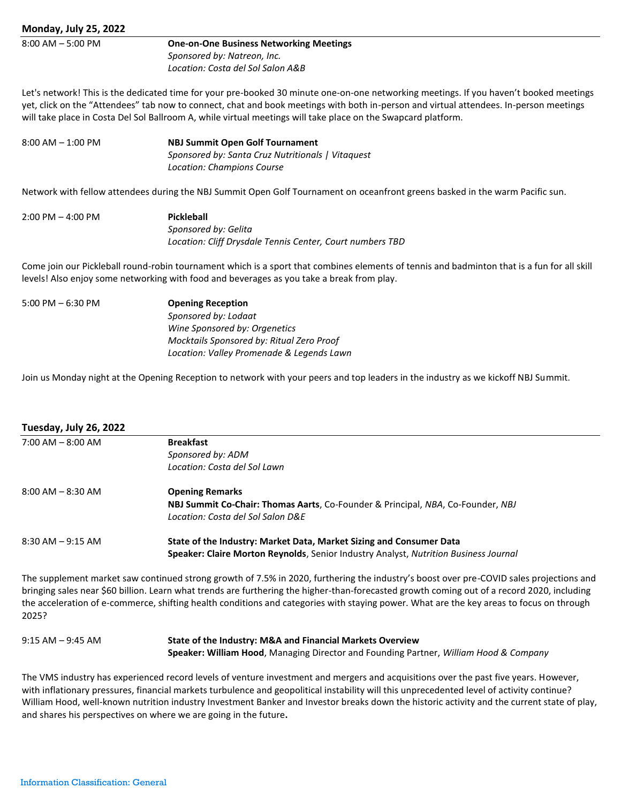#### **Monday, July 25, 2022**

8:00 AM – 5:00 PM **One-on-One Business Networking Meetings** *Sponsored by: Natreon, Inc. Location: Costa del Sol Salon A&B*

Let's network! This is the dedicated time for your pre-booked 30 minute one-on-one networking meetings. If you haven't booked meetings yet, click on the "Attendees" tab now to connect, chat and book meetings with both in-person and virtual attendees. In-person meetings will take place in Costa Del Sol Ballroom A, while virtual meetings will take place on the Swapcard platform.

| 8:00 AM – 1:00 PM | <b>NBJ Summit Open Golf Tournament</b>            |
|-------------------|---------------------------------------------------|
|                   | Sponsored by: Santa Cruz Nutritionals   Vitaguest |
|                   | Location: Champions Course                        |

Network with fellow attendees during the NBJ Summit Open Golf Tournament on oceanfront greens basked in the warm Pacific sun.

| $2:00$ PM $-$ 4:00 PM | Pickleball                                                |
|-----------------------|-----------------------------------------------------------|
|                       | Sponsored by: Gelita                                      |
|                       | Location: Cliff Drysdale Tennis Center, Court numbers TBD |

Come join our Pickleball round-robin tournament which is a sport that combines elements of tennis and badminton that is a fun for all skill levels! Also enjoy some networking with food and beverages as you take a break from play.

5:00 PM – 6:30 PM **Opening Reception** 

*Sponsored by: Lodaat Wine Sponsored by: Orgenetics Mocktails Sponsored by: Ritual Zero Proof Location: Valley Promenade & Legends Lawn*

Join us Monday night at the Opening Reception to network with your peers and top leaders in the industry as we kickoff NBJ Summit.

#### **Tuesday, July 26, 2022**

| $7:00$ AM $-$ 8:00 AM | <b>Breakfast</b>                                                                     |
|-----------------------|--------------------------------------------------------------------------------------|
|                       | Sponsored by: ADM                                                                    |
|                       | Location: Costa del Sol Lawn                                                         |
| $8:00$ AM $-8:30$ AM  | <b>Opening Remarks</b>                                                               |
|                       | NBJ Summit Co-Chair: Thomas Aarts, Co-Founder & Principal, NBA, Co-Founder, NBJ      |
|                       | Location: Costa del Sol Salon D&E                                                    |
| $8:30$ AM $-9:15$ AM  | State of the Industry: Market Data, Market Sizing and Consumer Data                  |
|                       | Speaker: Claire Morton Reynolds, Senior Industry Analyst, Nutrition Business Journal |

The supplement market saw continued strong growth of 7.5% in 2020, furthering the industry's boost over pre-COVID sales projections and bringing sales near \$60 billion. Learn what trends are furthering the higher-than-forecasted growth coming out of a record 2020, including the acceleration of e-commerce, shifting health conditions and categories with staying power. What are the key areas to focus on through 2025?

#### 9:15 AM – 9:45 AM **State of the Industry: M&A and Financial Markets Overview Speaker: William Hood**, Managing Director and Founding Partner, *William Hood & Company*

The VMS industry has experienced record levels of venture investment and mergers and acquisitions over the past five years. However, with inflationary pressures, financial markets turbulence and geopolitical instability will this unprecedented level of activity continue? William Hood, well-known nutrition industry Investment Banker and Investor breaks down the historic activity and the current state of play, and shares his perspectives on where we are going in the future**.**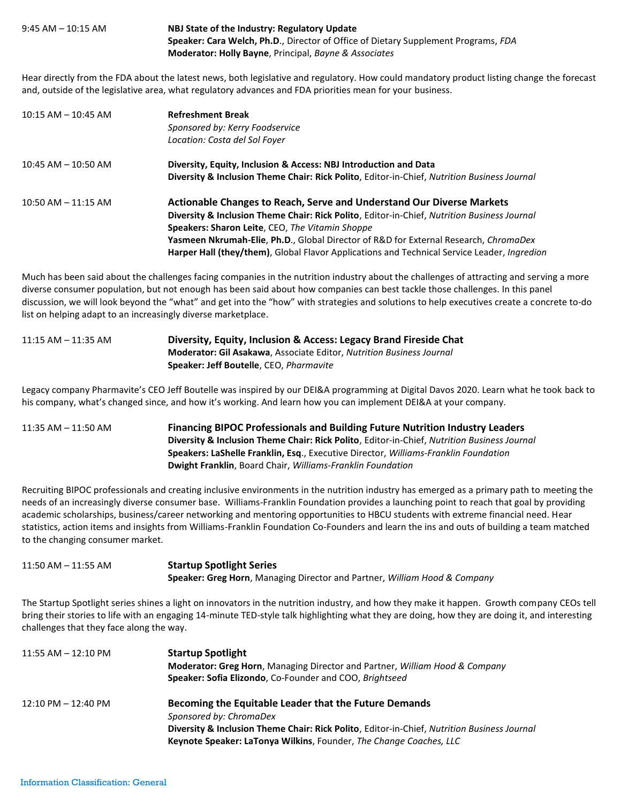9:45 AM – 10:15 AM **NBJ State of the Industry: Regulatory Update Speaker: Cara Welch, Ph.D**., Director of Office of Dietary Supplement Programs, *FDA*  **Moderator: Holly Bayne**, Principal, *Bayne & Associates*

Hear directly from the FDA about the latest news, both legislative and regulatory. How could mandatory product listing change the forecast and, outside of the legislative area, what regulatory advances and FDA priorities mean for your business.

| $10:15$ AM $-$ 10:45 AM | <b>Refreshment Break</b><br>Sponsored by: Kerry Foodservice<br>Location: Costa del Sol Foyer                                                                                                                                                                                                                                                                                                                   |
|-------------------------|----------------------------------------------------------------------------------------------------------------------------------------------------------------------------------------------------------------------------------------------------------------------------------------------------------------------------------------------------------------------------------------------------------------|
| $10:45$ AM $-$ 10:50 AM | Diversity, Equity, Inclusion & Access: NBJ Introduction and Data<br>Diversity & Inclusion Theme Chair: Rick Polito, Editor-in-Chief, Nutrition Business Journal                                                                                                                                                                                                                                                |
| $10:50$ AM $- 11:15$ AM | Actionable Changes to Reach, Serve and Understand Our Diverse Markets<br>Diversity & Inclusion Theme Chair: Rick Polito, Editor-in-Chief, Nutrition Business Journal<br>Speakers: Sharon Leite, CEO, The Vitamin Shoppe<br>Yasmeen Nkrumah-Elie, Ph.D., Global Director of R&D for External Research, ChromaDex<br>Harper Hall (they/them), Global Flavor Applications and Technical Service Leader, Ingredion |

Much has been said about the challenges facing companies in the nutrition industry about the challenges of attracting and serving a more diverse consumer population, but not enough has been said about how companies can best tackle those challenges. In this panel discussion, we will look beyond the "what" and get into the "how" with strategies and solutions to help executives create a concrete to-do list on helping adapt to an increasingly diverse marketplace.

| $11:15$ AM $-$ 11:35 AM | Diversity, Equity, Inclusion & Access: Legacy Brand Fireside Chat    |
|-------------------------|----------------------------------------------------------------------|
|                         | Moderator: Gil Asakawa, Associate Editor, Nutrition Business Journal |
|                         | Speaker: Jeff Boutelle, CEO, Pharmavite                              |

Legacy company Pharmavite's CEO Jeff Boutelle was inspired by our DEI&A programming at Digital Davos 2020. Learn what he took back to his company, what's changed since, and how it's working. And learn how you can implement DEI&A at your company.

11:35 AM – 11:50 AM **Financing BIPOC Professionals and Building Future Nutrition Industry Leaders Diversity & Inclusion Theme Chair: Rick Polito**, Editor-in-Chief, *Nutrition Business Journal* **Speakers: LaShelle Franklin, Esq**., Executive Director, *Williams-Franklin Foundation* **Dwight Franklin**, Board Chair, *Williams-Franklin Foundation*

Recruiting BIPOC professionals and creating inclusive environments in the nutrition industry has emerged as a primary path to meeting the needs of an increasingly diverse consumer base. Williams-Franklin Foundation provides a launching point to reach that goal by providing academic scholarships, business/career networking and mentoring opportunities to HBCU students with extreme financial need. Hear statistics, action items and insights from Williams-Franklin Foundation Co-Founders and learn the ins and outs of building a team matched to the changing consumer market.

11:50 AM – 11:55 AM **Startup Spotlight Series Speaker: Greg Horn**, Managing Director and Partner, *William Hood & Company*

The Startup Spotlight series shines a light on innovators in the nutrition industry, and how they make it happen. Growth company CEOs tell bring their stories to life with an engaging 14-minute TED-style talk highlighting what they are doing, how they are doing it, and interesting challenges that they face along the way.

| $11:55$ AM $- 12:10$ PM | <b>Startup Spotlight</b><br>Moderator: Greg Horn, Managing Director and Partner, William Hood & Company<br>Speaker: Sofia Elizondo, Co-Founder and COO, Brightseed                                                                                    |
|-------------------------|-------------------------------------------------------------------------------------------------------------------------------------------------------------------------------------------------------------------------------------------------------|
| $12:10$ PM $- 12:40$ PM | Becoming the Equitable Leader that the Future Demands<br>Sponsored by: ChromaDex<br>Diversity & Inclusion Theme Chair: Rick Polito, Editor-in-Chief, Nutrition Business Journal<br>Keynote Speaker: LaTonya Wilkins, Founder, The Change Coaches, LLC |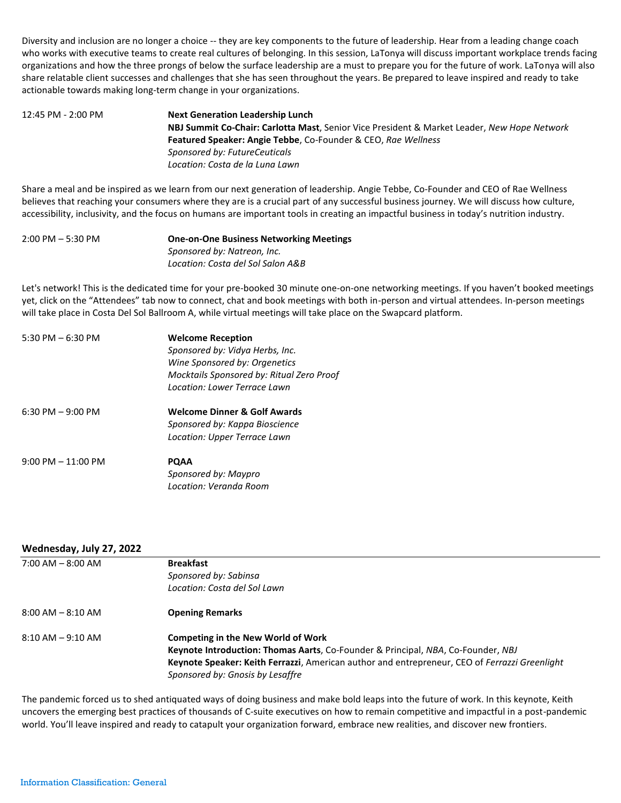Diversity and inclusion are no longer a choice -- they are key components to the future of leadership. Hear from a leading change coach who works with executive teams to create real cultures of belonging. In this session, LaTonya will discuss important workplace trends facing organizations and how the three prongs of below the surface leadership are a must to prepare you for the future of work. LaTonya will also share relatable client successes and challenges that she has seen throughout the years. Be prepared to leave inspired and ready to take actionable towards making long-term change in your organizations.

12:45 PM - 2:00 PM **Next Generation Leadership Lunch NBJ Summit Co-Chair: Carlotta Mast**, Senior Vice President & Market Leader, *New Hope Network* **Featured Speaker: Angie Tebbe**, Co-Founder & CEO, *Rae Wellness Sponsored by: FutureCeuticals Location: Costa de la Luna Lawn* 

Share a meal and be inspired as we learn from our next generation of leadership. Angie Tebbe, Co-Founder and CEO of Rae Wellness believes that reaching your consumers where they are is a crucial part of any successful business journey. We will discuss how culture, accessibility, inclusivity, and the focus on humans are important tools in creating an impactful business in today's nutrition industry.

| $2:00$ PM $-5:30$ PM | <b>One-on-One Business Networking Meetings</b> |
|----------------------|------------------------------------------------|
|                      | Sponsored by: Natreon, Inc.                    |
|                      | Location: Costa del Sol Salon A&B              |

Let's network! This is the dedicated time for your pre-booked 30 minute one-on-one networking meetings. If you haven't booked meetings yet, click on the "Attendees" tab now to connect, chat and book meetings with both in-person and virtual attendees. In-person meetings will take place in Costa Del Sol Ballroom A, while virtual meetings will take place on the Swapcard platform.

| 5:30 PM $-6:30$ PM    | <b>Welcome Reception</b>                  |
|-----------------------|-------------------------------------------|
|                       | Sponsored by: Vidya Herbs, Inc.           |
|                       | Wine Sponsored by: Orgenetics             |
|                       | Mocktails Sponsored by: Ritual Zero Proof |
|                       | Location: Lower Terrace Lawn              |
| $6:30$ PM $-9:00$ PM  | Welcome Dinner & Golf Awards              |
|                       | Sponsored by: Kappa Bioscience            |
|                       | Location: Upper Terrace Lawn              |
| $9:00$ PM $-11:00$ PM | <b>POAA</b>                               |
|                       | Sponsored by: Maypro                      |
|                       | Location: Veranda Room                    |

#### **Wednesday, July 27, 2022**

| $7:00$ AM $-$ 8:00 AM | <b>Breakfast</b>                                                                              |
|-----------------------|-----------------------------------------------------------------------------------------------|
|                       | Sponsored by: Sabinsa                                                                         |
|                       | Location: Costa del Sol Lawn                                                                  |
| $8:00$ AM $-$ 8:10 AM | <b>Opening Remarks</b>                                                                        |
| $8:10$ AM $-9:10$ AM  | <b>Competing in the New World of Work</b>                                                     |
|                       | Keynote Introduction: Thomas Aarts, Co-Founder & Principal, NBA, Co-Founder, NBJ              |
|                       | Keynote Speaker: Keith Ferrazzi, American author and entrepreneur, CEO of Ferrazzi Greenlight |
|                       | Sponsored by: Gnosis by Lesaffre                                                              |
|                       |                                                                                               |

The pandemic forced us to shed antiquated ways of doing business and make bold leaps into the future of work. In this keynote, Keith uncovers the emerging best practices of thousands of C-suite executives on how to remain competitive and impactful in a post-pandemic world. You'll leave inspired and ready to catapult your organization forward, embrace new realities, and discover new frontiers.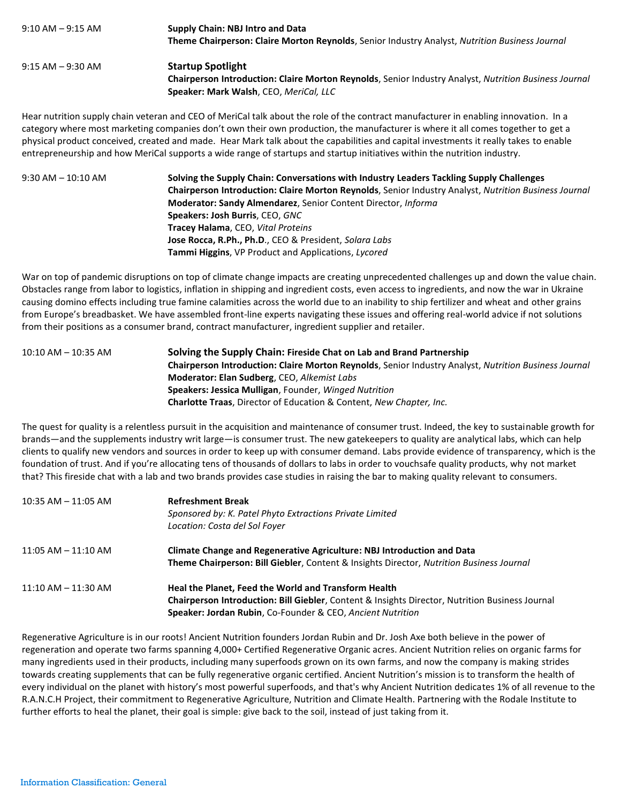| $9:10$ AM $ 9:15$ AM | <b>Supply Chain: NBJ Intro and Data</b><br>Theme Chairperson: Claire Morton Reynolds, Senior Industry Analyst, Nutrition Business Journal |
|----------------------|-------------------------------------------------------------------------------------------------------------------------------------------|
| 9:15 AM – 9:30 AM    | <b>Startup Spotlight</b><br><b>Chairperson Introduction: Claire Morton Reynolds</b> , Senior Industry Analyst, Nutrition Business Journal |
|                      | Speaker: Mark Walsh, CEO, MeriCal, LLC                                                                                                    |

Hear nutrition supply chain veteran and CEO of MeriCal talk about the role of the contract manufacturer in enabling innovation. In a category where most marketing companies don't own their own production, the manufacturer is where it all comes together to get a physical product conceived, created and made. Hear Mark talk about the capabilities and capital investments it really takes to enable entrepreneurship and how MeriCal supports a wide range of startups and startup initiatives within the nutrition industry.

9:30 AM – 10:10 AM **Solving the Supply Chain: Conversations with Industry Leaders Tackling Supply Challenges Chairperson Introduction: Claire Morton Reynolds**, Senior Industry Analyst, *Nutrition Business Journal* **Moderator: Sandy Almendarez**, Senior Content Director, *Informa* **Speakers: Josh Burris**, CEO, *GNC* **Tracey Halama**, CEO, *Vital Proteins* **Jose Rocca, R.Ph., Ph.D**., CEO & President, *Solara Labs*  **Tammi Higgins**, VP Product and Applications, *Lycored*

War on top of pandemic disruptions on top of climate change impacts are creating unprecedented challenges up and down the value chain. Obstacles range from labor to logistics, inflation in shipping and ingredient costs, even access to ingredients, and now the war in Ukraine causing domino effects including true famine calamities across the world due to an inability to ship fertilizer and wheat and other grains from Europe's breadbasket. We have assembled front-line experts navigating these issues and offering real-world advice if not solutions from their positions as a consumer brand, contract manufacturer, ingredient supplier and retailer.

10:10 AM – 10:35 AM **Solving the Supply Chain: Fireside Chat on Lab and Brand Partnership Chairperson Introduction: Claire Morton Reynolds**, Senior Industry Analyst, *Nutrition Business Journal* **Moderator: Elan Sudberg**, CEO, *Alkemist Labs* **Speakers: Jessica Mulligan**, Founder, *Winged Nutrition* **Charlotte Traas**, Director of Education & Content, *New Chapter, Inc.*

The quest for quality is a relentless pursuit in the acquisition and maintenance of consumer trust. Indeed, the key to sustainable growth for brands—and the supplements industry writ large—is consumer trust. The new gatekeepers to quality are analytical labs, which can help clients to qualify new vendors and sources in order to keep up with consumer demand. Labs provide evidence of transparency, which is the foundation of trust. And if you're allocating tens of thousands of dollars to labs in order to vouchsafe quality products, why not market that? This fireside chat with a lab and two brands provides case studies in raising the bar to making quality relevant to consumers.

| $10:35$ AM $-$ 11:05 AM | <b>Refreshment Break</b>                                                                                   |
|-------------------------|------------------------------------------------------------------------------------------------------------|
|                         | Sponsored by: K. Patel Phyto Extractions Private Limited                                                   |
|                         | Location: Costa del Sol Foyer                                                                              |
| $11:05$ AM $-11:10$ AM  | Climate Change and Regenerative Agriculture: NBJ Introduction and Data                                     |
|                         | Theme Chairperson: Bill Giebler, Content & Insights Director, Nutrition Business Journal                   |
| $11:10$ AM $-$ 11:30 AM | Heal the Planet, Feed the World and Transform Health                                                       |
|                         | <b>Chairperson Introduction: Bill Giebler, Content &amp; Insights Director, Nutrition Business Journal</b> |
|                         | Speaker: Jordan Rubin, Co-Founder & CEO, Ancient Nutrition                                                 |

Regenerative Agriculture is in our roots! Ancient Nutrition founders Jordan Rubin and Dr. Josh Axe both believe in the power of regeneration and operate two farms spanning 4,000+ Certified Regenerative Organic acres. Ancient Nutrition relies on organic farms for many ingredients used in their products, including many superfoods grown on its own farms, and now the company is making strides towards creating supplements that can be fully regenerative organic certified. Ancient Nutrition's mission is to transform the health of every individual on the planet with history's most powerful superfoods, and that's why Ancient Nutrition dedicates 1% of all revenue to the R.A.N.C.H Project, their commitment to Regenerative Agriculture, Nutrition and Climate Health. Partnering with the Rodale Institute to further efforts to heal the planet, their goal is simple: give back to the soil, instead of just taking from it.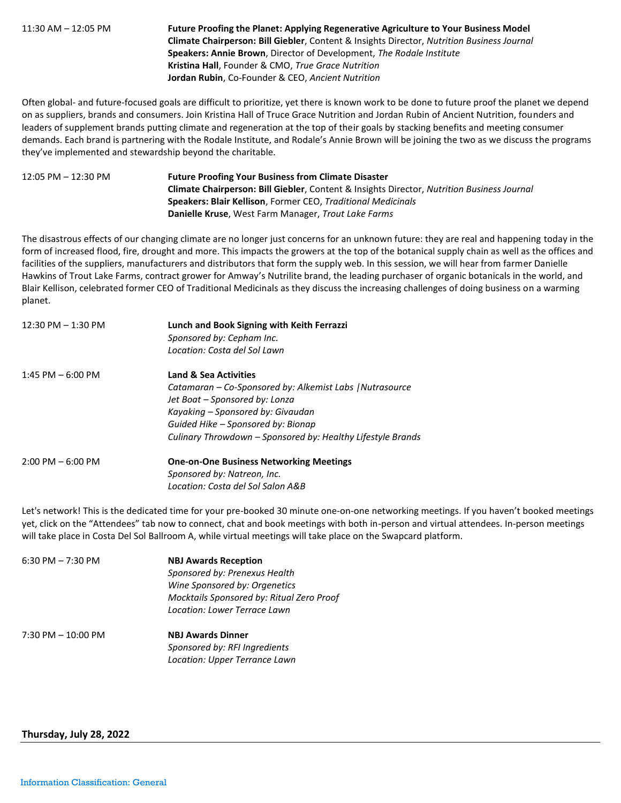11:30 AM – 12:05 PM **Future Proofing the Planet: Applying Regenerative Agriculture to Your Business Model Climate Chairperson: Bill Giebler**, Content & Insights Director, *Nutrition Business Journal* **Speakers: Annie Brown**, Director of Development, *The Rodale Institute* **Kristina Hall**, Founder & CMO, *True Grace Nutrition* **Jordan Rubin**, Co-Founder & CEO, *Ancient Nutrition*

Often global- and future-focused goals are difficult to prioritize, yet there is known work to be done to future proof the planet we depend on as suppliers, brands and consumers. Join Kristina Hall of Truce Grace Nutrition and Jordan Rubin of Ancient Nutrition, founders and leaders of supplement brands putting climate and regeneration at the top of their goals by stacking benefits and meeting consumer demands. Each brand is partnering with the Rodale Institute, and Rodale's Annie Brown will be joining the two as we discuss the programs they've implemented and stewardship beyond the charitable.

12:05 PM – 12:30 PM **Future Proofing Your Business from Climate Disaster Climate Chairperson: Bill Giebler**, Content & Insights Director, *Nutrition Business Journal* **Speakers: Blair Kellison**, Former CEO, *Traditional Medicinals*  **Danielle Kruse**, West Farm Manager, *Trout Lake Farms*

The disastrous effects of our changing climate are no longer just concerns for an unknown future: they are real and happening today in the form of increased flood, fire, drought and more. This impacts the growers at the top of the botanical supply chain as well as the offices and facilities of the suppliers, manufacturers and distributors that form the supply web. In this session, we will hear from farmer Danielle Hawkins of Trout Lake Farms, contract grower for Amway's Nutrilite brand, the leading purchaser of organic botanicals in the world, and Blair Kellison, celebrated former CEO of Traditional Medicinals as they discuss the increasing challenges of doing business on a warming planet.

| $12:30$ PM $- 1:30$ PM | Lunch and Book Signing with Keith Ferrazzi                  |
|------------------------|-------------------------------------------------------------|
|                        | Sponsored by: Cepham Inc.                                   |
|                        | Location: Costa del Sol Lawn                                |
| $1:45$ PM $-6:00$ PM   | <b>Land &amp; Sea Activities</b>                            |
|                        | Catamaran – Co-Sponsored by: Alkemist Labs   Nutrasource    |
|                        | Jet Boat – Sponsored by: Lonza                              |
|                        | Kayaking – Sponsored by: Givaudan                           |
|                        | Guided Hike - Sponsored by: Bionap                          |
|                        | Culinary Throwdown – Sponsored by: Healthy Lifestyle Brands |
| $2:00$ PM $-6:00$ PM   | <b>One-on-One Business Networking Meetings</b>              |
|                        | Sponsored by: Natreon, Inc.                                 |
|                        | Location: Costa del Sol Salon A&B                           |

Let's network! This is the dedicated time for your pre-booked 30 minute one-on-one networking meetings. If you haven't booked meetings yet, click on the "Attendees" tab now to connect, chat and book meetings with both in-person and virtual attendees. In-person meetings will take place in Costa Del Sol Ballroom A, while virtual meetings will take place on the Swapcard platform.

| 6:30 PM $- 7:30$ PM   | <b>NBJ Awards Reception</b>               |
|-----------------------|-------------------------------------------|
|                       | Sponsored by: Prenexus Health             |
|                       | Wine Sponsored by: Orgenetics             |
|                       | Mocktails Sponsored by: Ritual Zero Proof |
|                       | Location: Lower Terrace Lawn              |
| $7:30$ PM $-10:00$ PM | <b>NBJ Awards Dinner</b>                  |
|                       | Sponsored by: RFI Ingredients             |
|                       | Location: Upper Terrance Lawn             |

#### **Thursday, July 28, 2022**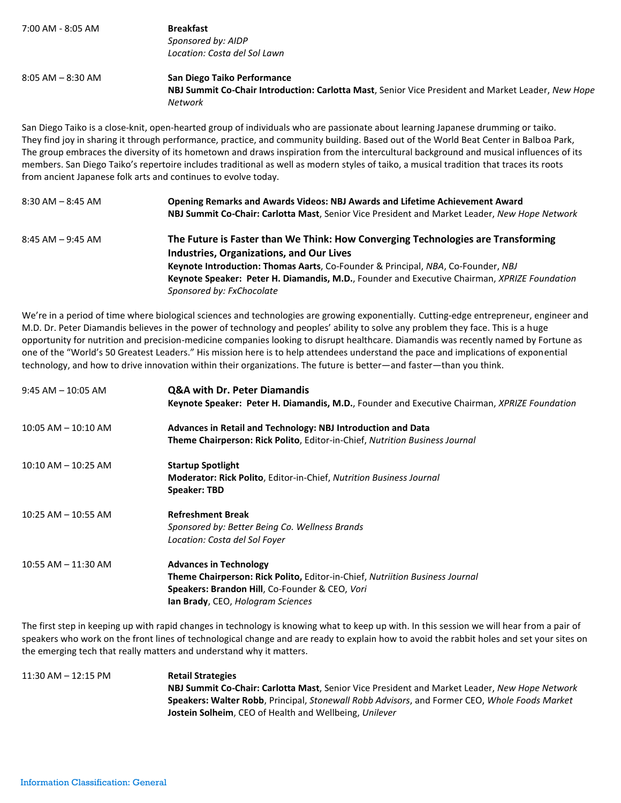| 7:00 AM - 8:05 AM     | <b>Breakfast</b>                                                                                                                                                                                                                                                                                                                                                   |
|-----------------------|--------------------------------------------------------------------------------------------------------------------------------------------------------------------------------------------------------------------------------------------------------------------------------------------------------------------------------------------------------------------|
|                       | Sponsored by: AIDP                                                                                                                                                                                                                                                                                                                                                 |
|                       | Location: Costa del Sol Lawn                                                                                                                                                                                                                                                                                                                                       |
| $8:05$ AM $-$ 8:30 AM | San Diego Taiko Performance                                                                                                                                                                                                                                                                                                                                        |
|                       | NBJ Summit Co-Chair Introduction: Carlotta Mast, Senior Vice President and Market Leader, New Hope<br>Network                                                                                                                                                                                                                                                      |
|                       | San Diego Taiko is a close-knit, open-hearted group of individuals who are passionate about learning Japanese drumming or taiko.<br>The official teachership in the column of concerns and contributed and controlled and controlled and controlled a back of the controlled and the back of the controlled and the back of the controlled and the back of the con |

They find joy in sharing it through performance, practice, and community building. Based out of the World Beat Center in Balboa Park, The group embraces the diversity of its hometown and draws inspiration from the intercultural background and musical influences of its members. San Diego Taiko's repertoire includes traditional as well as modern styles of taiko, a musical tradition that traces its roots from ancient Japanese folk arts and continues to evolve today.

| $8:30$ AM $-8:45$ AM | Opening Remarks and Awards Videos: NBJ Awards and Lifetime Achievement Award<br>NBJ Summit Co-Chair: Carlotta Mast, Senior Vice President and Market Leader, New Hope Network                                 |
|----------------------|---------------------------------------------------------------------------------------------------------------------------------------------------------------------------------------------------------------|
| $8:45$ AM $-9:45$ AM | The Future is Faster than We Think: How Converging Technologies are Transforming<br><b>Industries, Organizations, and Our Lives</b>                                                                           |
|                      | Keynote Introduction: Thomas Aarts, Co-Founder & Principal, NBA, Co-Founder, NBJ<br>Keynote Speaker: Peter H. Diamandis, M.D., Founder and Executive Chairman, XPRIZE Foundation<br>Sponsored by: FxChocolate |

We're in a period of time where biological sciences and technologies are growing exponentially. Cutting-edge entrepreneur, engineer and M.D. Dr. Peter Diamandis believes in the power of technology and peoples' ability to solve any problem they face. This is a huge opportunity for nutrition and precision-medicine companies looking to disrupt healthcare. Diamandis was recently named by Fortune as one of the "World's 50 Greatest Leaders." His mission here is to help attendees understand the pace and implications of exponential technology, and how to drive innovation within their organizations. The future is better—and faster—than you think.

| $9:45$ AM $-$ 10:05 AM  | <b>Q&amp;A with Dr. Peter Diamandis</b><br>Keynote Speaker: Peter H. Diamandis, M.D., Founder and Executive Chairman, XPRIZE Foundation                                                                                        |
|-------------------------|--------------------------------------------------------------------------------------------------------------------------------------------------------------------------------------------------------------------------------|
| $10:05$ AM $- 10:10$ AM | Advances in Retail and Technology: NBJ Introduction and Data<br><b>Theme Chairperson: Rick Polito, Editor-in-Chief, Nutrition Business Journal</b>                                                                             |
| $10:10$ AM $-$ 10:25 AM | <b>Startup Spotlight</b><br>Moderator: Rick Polito, Editor-in-Chief, Nutrition Business Journal<br><b>Speaker: TBD</b>                                                                                                         |
| $10:25$ AM $- 10:55$ AM | <b>Refreshment Break</b><br>Sponsored by: Better Being Co. Wellness Brands<br>Location: Costa del Sol Foyer                                                                                                                    |
| 10:55 AM - 11:30 AM     | <b>Advances in Technology</b><br><b>Theme Chairperson: Rick Polito, Editor-in-Chief, Nutriition Business Journal</b><br><b>Speakers: Brandon Hill, Co-Founder &amp; CEO, Vori</b><br><b>Ian Brady</b> , CEO, Hologram Sciences |

The first step in keeping up with rapid changes in technology is knowing what to keep up with. In this session we will hear from a pair of speakers who work on the front lines of technological change and are ready to explain how to avoid the rabbit holes and set your sites on the emerging tech that really matters and understand why it matters.

11:30 AM – 12:15 PM **Retail Strategies NBJ Summit Co-Chair: Carlotta Mast**, Senior Vice President and Market Leader, *New Hope Network* **Speakers: Walter Robb**, Principal, *Stonewall Robb Advisors*, and Former CEO, *Whole Foods Market* **Jostein Solheim**, CEO of Health and Wellbeing, *Unilever*